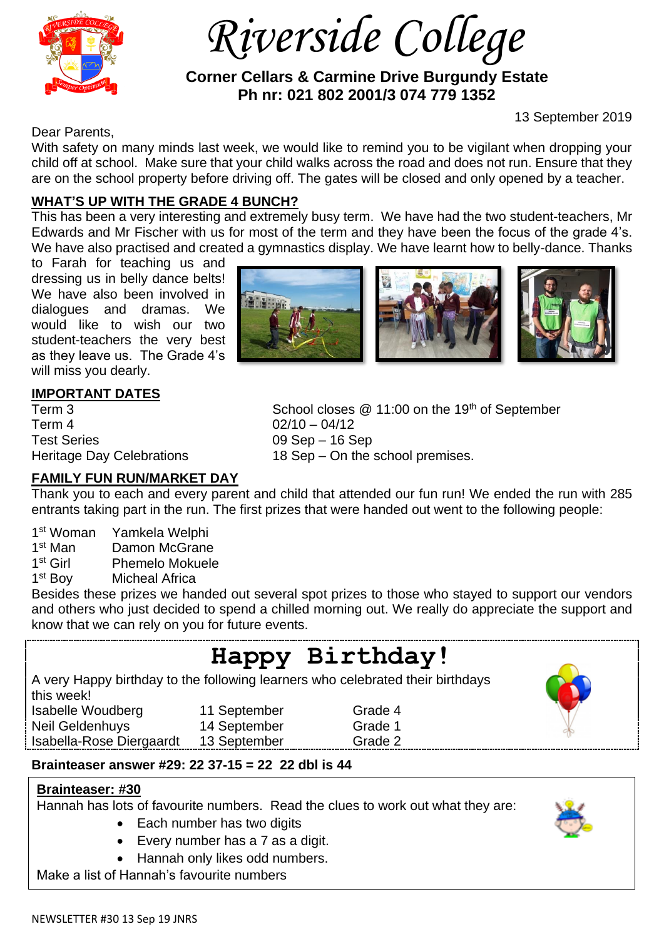

 *Riverside College*

## **Corner Cellars & Carmine Drive Burgundy Estate Ph nr: 021 802 2001/3 074 779 1352**

13 September 2019

Dear Parents,

With safety on many minds last week, we would like to remind you to be vigilant when dropping your child off at school. Make sure that your child walks across the road and does not run. Ensure that they are on the school property before driving off. The gates will be closed and only opened by a teacher.

# **WHAT'S UP WITH THE GRADE 4 BUNCH?**

This has been a very interesting and extremely busy term. We have had the two student-teachers, Mr Edwards and Mr Fischer with us for most of the term and they have been the focus of the grade 4's. We have also practised and created a gymnastics display. We have learnt how to belly-dance. Thanks

to Farah for teaching us and dressing us in belly dance belts! We have also been involved in dialogues and dramas. We would like to wish our two student-teachers the very best as they leave us. The Grade 4's will miss you dearly.



## **IMPORTANT DATES**

Term 4 02/10 – 04/12 Test Series 09 Sep – 16 Sep

Term 3 School closes @ 11:00 on the 19<sup>th</sup> of September Heritage Day Celebrations 18 Sep – On the school premises.

#### **FAMILY FUN RUN/MARKET DAY**

Thank you to each and every parent and child that attended our fun run! We ended the run with 285 entrants taking part in the run. The first prizes that were handed out went to the following people:

- 1st Woman Yamkela Welphi
- 1<sup>st</sup> Man Damon McGrane
- $1<sup>st</sup>$  Girl Phemelo Mokuele
- 1<sup>st</sup> Boy **Micheal Africa**

Besides these prizes we handed out several spot prizes to those who stayed to support our vendors and others who just decided to spend a chilled morning out. We really do appreciate the support and know that we can rely on you for future events.

# **Happy Birthday!**

A very Happy birthday to the following learners who celebrated their birthdays this week!

Isabelle Woudberg 11 September Grade 4 Neil Geldenhuys 14 September Grade 1

- 
- 
- Isabella-Rose Diergaardt 13 September Grade 2
- **Brainteaser answer #29: 22 37-15 = 22 22 dbl is 44**

## **Brainteaser: #30**

Hannah has lots of favourite numbers. Read the clues to work out what they are:

- Each number has two digits
- Every number has a 7 as a digit.
- Hannah only likes odd numbers.

Make a list of Hannah's favourite numbers